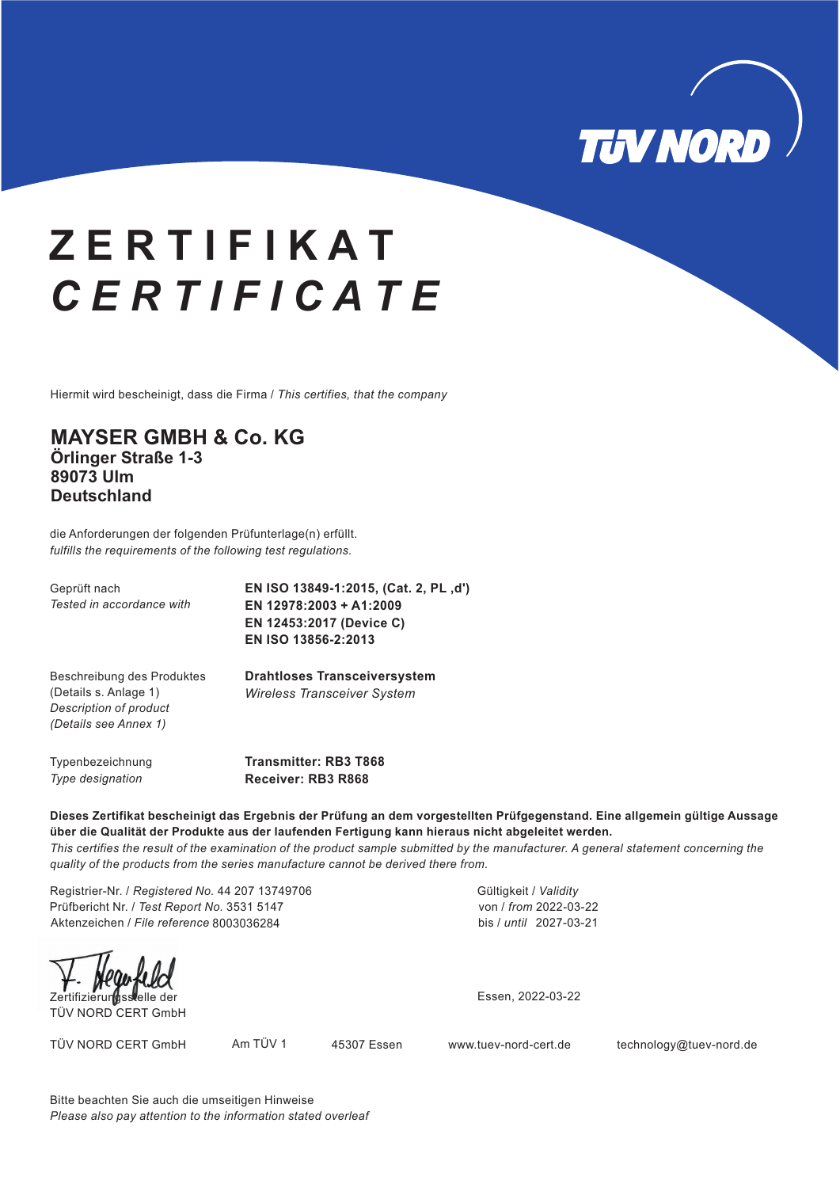

### **Z E R T I F I K A T** CERTIFICATE *C E R T I F I C A T E*

Hiermit wird bescheinigt, dass die Firma / *This certifies, that the company*

### **MAYSER GMBH & Co. KG Örlinger Straße 1-3 89073 Ulm Deutschland**

die Anforderungen der folgenden Prüfunterlage(n) erfüllt. *fulfills the requirements of the following test regulations.*

Geprüft nach *Tested in accordance with* **EN ISO 13849-1:2015, (Cat. 2, PL 'd') EN 12978:2003 + A1:2009 EN 12453:2017 (Device C) EN ISO 13856-2:2013**

**Drahtloses Transceiversystem** *Wireless Transceiver System*

Beschreibung des Produktes (Details s. Anlage 1) *Description of product (Details see Annex 1)*

Typenbezeichnung *Type designation*

**Transmitter: RB3 T868 Receiver: RB3 R868**

**Dieses Zertifikat bescheinigt das Ergebnis der Prüfung an dem vorgestellten Prüfgegenstand. Eine allgemein gültige Aussage über die Qualität der Produkte aus der laufenden Fertigung kann hieraus nicht abgeleitet werden.** *This certifies the result of the examination of the product sample submitted by the manufacturer. A general statement concerning the*

*quality of the products from the series manufacture cannot be derived there from.*

Registrier-Nr. / *Registered No.* 44 207 13749706 Prüfbericht Nr. / *Test Report No.* 3531 5147 Aktenzeichen / *File reference* 8003036284 bis / *until* 2027-03-21

TÜV NORD CERT GmbH

Essen, 2022-03-22

Gültigkeit / *Validity*

von / *from* 2022-03-22

TÜV NORD CERT GmbH Am TÜV 1 45307 Essen www.tuev-nord-cert.de technology@tuev-nord.de

Bitte beachten Sie auch die umseitigen Hinweise *Please also pay attention to the information stated overleaf*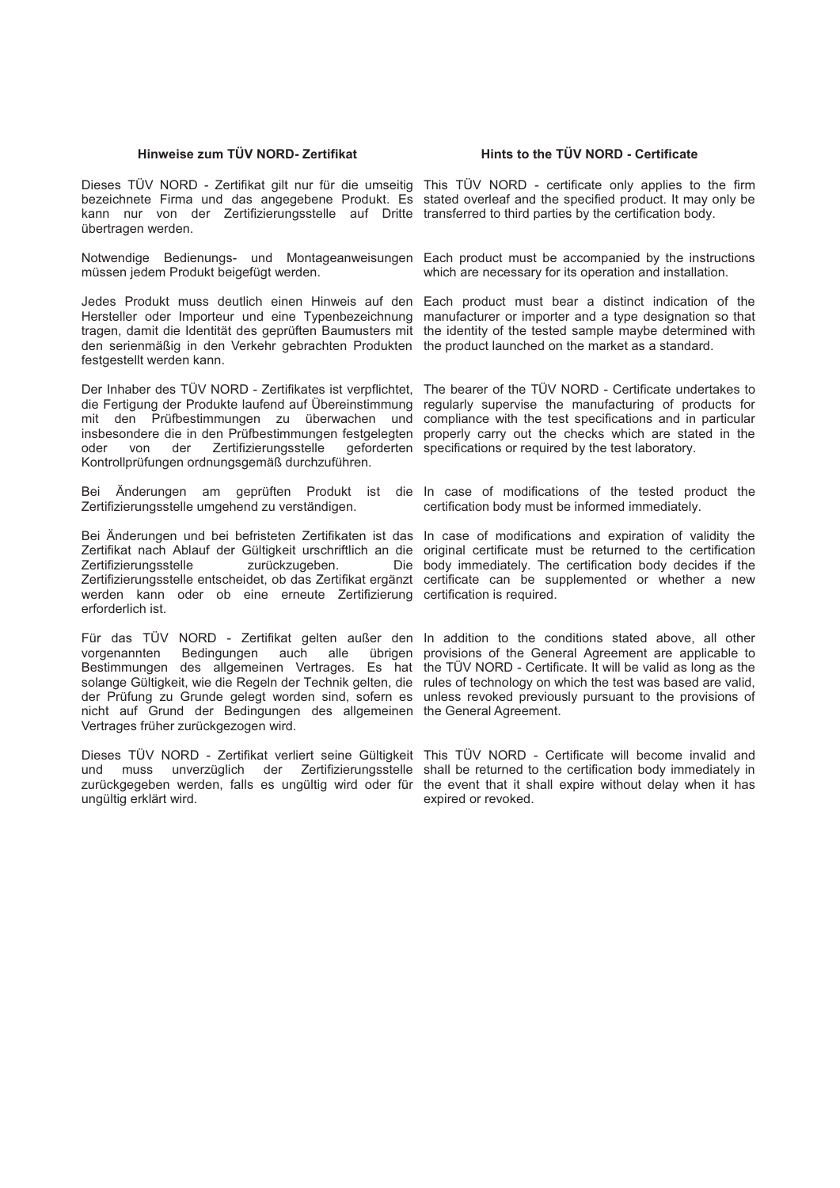#### **Hinweise zum TÜV NORD- Zertifikat Hints to the TÜV NORD - Certificate**

Dieses TÜV NORD - Zertifikat gilt nur für die umseitig This TÜV NORD - certificate only applies to the firm bezeichnete Firma und das angegebene Produkt. Es stated overleaf and the specified product. It may only be kann nur von der Zertifizierungsstelle auf Dritte transferred to third parties by the certification body. übertragen werden.

Notwendige Bedienungs- und Montageanweisungen Each product must be accompanied by the instructions müssen jedem Produkt beigefügt werden.

Jedes Produkt muss deutlich einen Hinweis auf den Each product must bear a distinct indication of the Hersteller oder Importeur und eine Typenbezeichnung manufacturer or importer and a type designation so that tragen, damit die Identität des geprüften Baumusters mit the identity of the tested sample maybe determined with den serienmäßig in den Verkehr gebrachten Produkten the product launched on the market as a standard. festgestellt werden kann.

Der Inhaber des TÜV NORD - Zertifikates ist verpflichtet, The bearer of the TÜV NORD - Certificate undertakes to die Fertigung der Produkte laufend auf Übereinstimmung mit den Prüfbestimmungen zu überwachen und compliance with the test specifications and in particular insbesondere die in den Prüfbestimmungen festgelegten properly carry out the checks which are stated in the oder von der Zertifizierungsstelle Kontrollprüfungen ordnungsgemäß durchzuführen.

Bei Änderungen am geprüften Produkt ist die In case of modifications of the tested product the Zertifizierungsstelle umgehend zu verständigen.

Bei Änderungen und bei befristeten Zertifikaten ist das In case of modifications and expiration of validity the Zertifikat nach Ablauf der Gültigkeit urschriftlich an die original certificate must be returned to the certification Zertifizierungsstelle zurückzugeben. Zertifizierungsstelle entscheidet, ob das Zertifikat ergänzt certificate can be supplemented or whether a new werden kann oder ob eine erneute Zertifizierung certification is required. erforderlich ist.

Für das TÜV NORD - Zertifikat gelten außer den In addition to the conditions stated above, all other vorgenannten Bedingungen auch alle Bestimmungen des allgemeinen Vertrages. Es hat the TÜV NORD - Certificate. It will be valid as long as the solange Gültigkeit, wie die Regeln der Technik gelten, die rules of technology on which the test was based are valid, der Prüfung zu Grunde gelegt worden sind, sofern es unless revoked previously pursuant to the provisions of nicht auf Grund der Bedingungen des allgemeinen the General Agreement. Vertrages früher zurückgezogen wird.

Dieses TÜV NORD - Zertifikat verliert seine Gültigkeit This TÜV NORD - Certificate will become invalid and und muss unverzüglich der Zertifizierungsstelle shall be returned to the certification body immediately in zurückgegeben werden, falls es ungültig wird oder für the event that it shall expire without delay when it has ungültig erklärt wird.

which are necessary for its operation and installation.

regularly supervise the manufacturing of products for geforderten specifications or required by the test laboratory.

certification body must be informed immediately.

Die body immediately. The certification body decides if the

übrigen provisions of the General Agreement are applicable to

expired or revoked.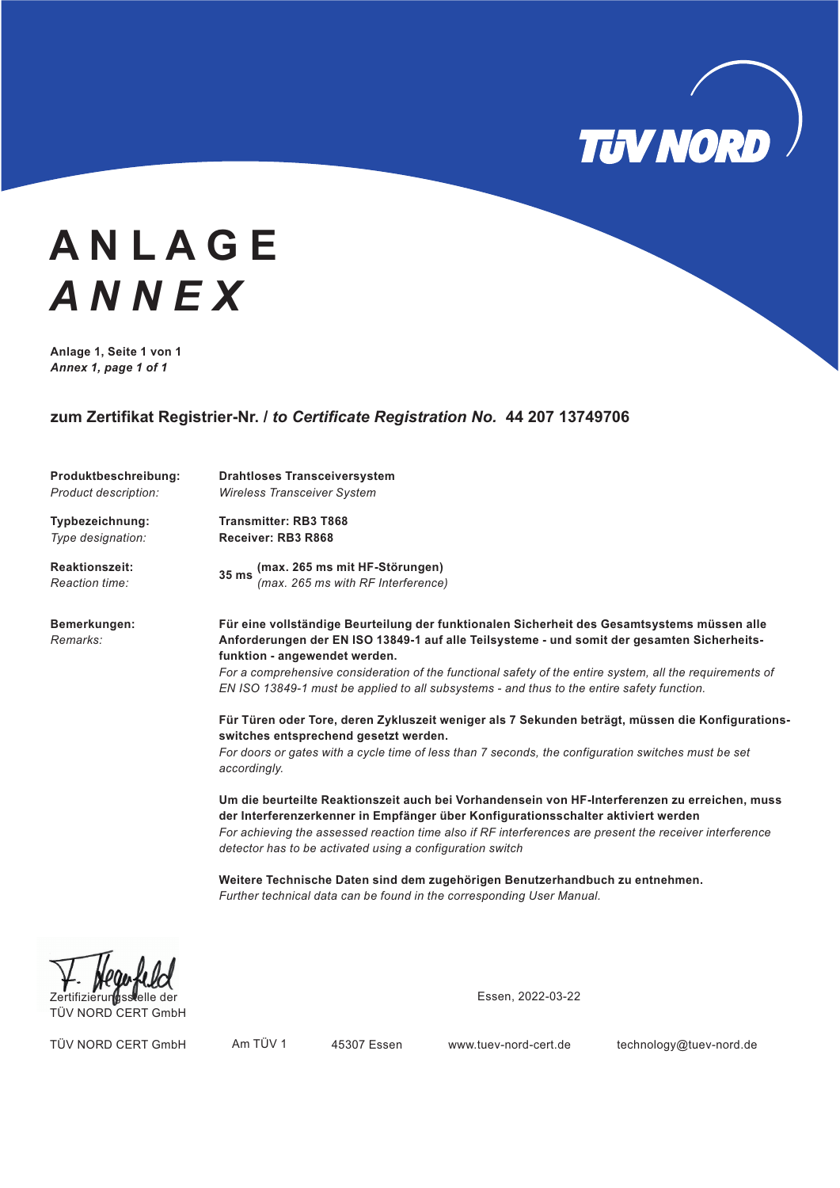

# **A N L A G E** ANNEX **Anlage 1, Seite 1 von 1** *A N N E X*

*Annex 1, page 1 of 1*

#### **zum Zertifikat Registrier-Nr. /** *to Certificate Registration No.* **44 207 13749706**

| Produktbeschreibung:<br>Product description: | <b>Drahtloses Transceiversystem</b><br><b>Wireless Transceiver System</b>                                                                                                                                                                                                                                                                                   |  |  |  |  |  |
|----------------------------------------------|-------------------------------------------------------------------------------------------------------------------------------------------------------------------------------------------------------------------------------------------------------------------------------------------------------------------------------------------------------------|--|--|--|--|--|
|                                              |                                                                                                                                                                                                                                                                                                                                                             |  |  |  |  |  |
| Typbezeichnung:                              | <b>Transmitter: RB3 T868</b>                                                                                                                                                                                                                                                                                                                                |  |  |  |  |  |
| Type designation:                            | Receiver: RB3 R868                                                                                                                                                                                                                                                                                                                                          |  |  |  |  |  |
| <b>Reaktionszeit:</b>                        |                                                                                                                                                                                                                                                                                                                                                             |  |  |  |  |  |
| Reaction time:                               | 35 ms (max. 265 ms mit HF-Störungen)<br>$(max. 265 \text{ ms with RF Interference})$                                                                                                                                                                                                                                                                        |  |  |  |  |  |
| Bemerkungen:<br>Remarks:                     | Für eine vollständige Beurteilung der funktionalen Sicherheit des Gesamtsystems müssen alle<br>Anforderungen der EN ISO 13849-1 auf alle Teilsysteme - und somit der gesamten Sicherheits-<br>funktion - angewendet werden.                                                                                                                                 |  |  |  |  |  |
|                                              | For a comprehensive consideration of the functional safety of the entire system, all the requirements of                                                                                                                                                                                                                                                    |  |  |  |  |  |
|                                              | EN ISO 13849-1 must be applied to all subsystems - and thus to the entire safety function.                                                                                                                                                                                                                                                                  |  |  |  |  |  |
|                                              | Für Türen oder Tore, deren Zykluszeit weniger als 7 Sekunden beträgt, müssen die Konfigurations-<br>switches entsprechend gesetzt werden.                                                                                                                                                                                                                   |  |  |  |  |  |
|                                              | For doors or gates with a cycle time of less than 7 seconds, the configuration switches must be set<br>accordingly.                                                                                                                                                                                                                                         |  |  |  |  |  |
|                                              | Um die beurteilte Reaktionszeit auch bei Vorhandensein von HF-Interferenzen zu erreichen, muss<br>der Interferenzerkenner in Empfänger über Konfigurationsschalter aktiviert werden<br>For achieving the assessed reaction time also if RF interferences are present the receiver interference<br>detector has to be activated using a configuration switch |  |  |  |  |  |
|                                              | Weitere Technische Daten sind dem zugehörigen Benutzerhandbuch zu entnehmen.<br>Further technical data can be found in the corresponding User Manual.                                                                                                                                                                                                       |  |  |  |  |  |

TÜV NORD CERT GmbH

Essen, 2022-03-22

TÜV NORD CERT GmbH Am TÜV 1 45307 Essen www.tuev-nord-cert.de technology@tuev-nord.de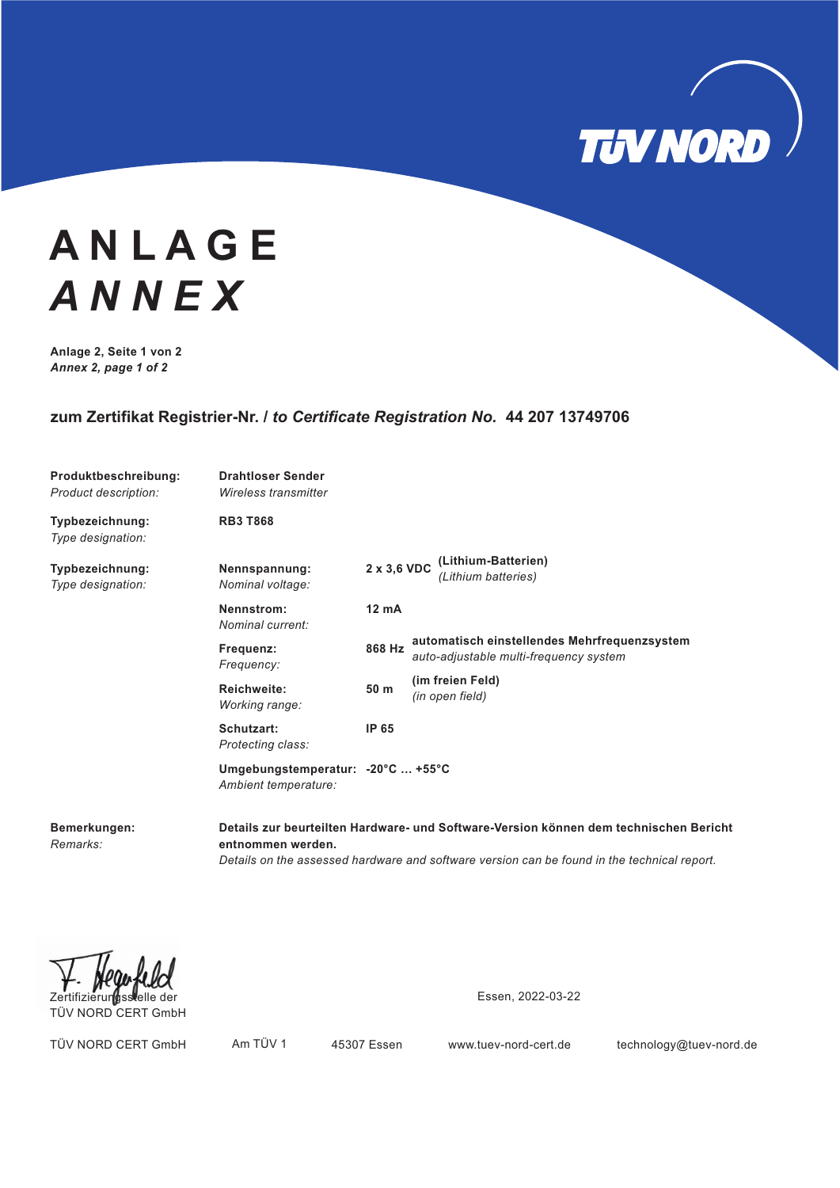

# **A N L A G E** ANNEX **Anlage 2, Seite 1 von 2** *A N N E X*

*Annex 2, page 1 of 2*

### **zum Zertifikat Registrier-Nr. /** *to Certificate Registration No.* **44 207 13749706**

| Produktbeschreibung:<br><b>Product description:</b> | <b>Drahtloser Sender</b><br>Wireless transmitter          |                                                                          |  |                                                                                        |
|-----------------------------------------------------|-----------------------------------------------------------|--------------------------------------------------------------------------|--|----------------------------------------------------------------------------------------|
| Typbezeichnung:<br>Type designation:                | <b>RB3 T868</b>                                           |                                                                          |  |                                                                                        |
| Typbezeichnung:<br>Type designation:                | Nennspannung:<br>Nominal voltage:                         | (Lithium-Batterien)<br>$2 \times 3,6 \text{ VDC}$<br>(Lithium batteries) |  |                                                                                        |
|                                                     | Nennstrom:<br>Nominal current:                            | $12 \text{ mA}$                                                          |  |                                                                                        |
|                                                     | Frequenz:<br>Frequency:                                   | 868 Hz                                                                   |  | automatisch einstellendes Mehrfrequenzsystem<br>auto-adjustable multi-frequency system |
|                                                     | <b>Reichweite:</b><br>Working range:                      | 50 m                                                                     |  | (im freien Feld)<br>(in open field)                                                    |
|                                                     | Schutzart:<br>Protecting class:                           | IP 65                                                                    |  |                                                                                        |
|                                                     | Umgebungstemperatur: -20°C  +55°C<br>Ambient temperature: |                                                                          |  |                                                                                        |

**Bemerkungen:** *Remarks:*

**Details zur beurteilten Hardware- und Software-Version können dem technischen Bericht entnommen werden.** *Details on the assessed hardware and software version can be found in the technical report.*

TÜV NORD CERT GmbH

Essen, 2022-03-22

TÜV NORD CERT GmbH Am TÜV 1 45307 Essen www.tuev-nord-cert.de technology@tuev-nord.de